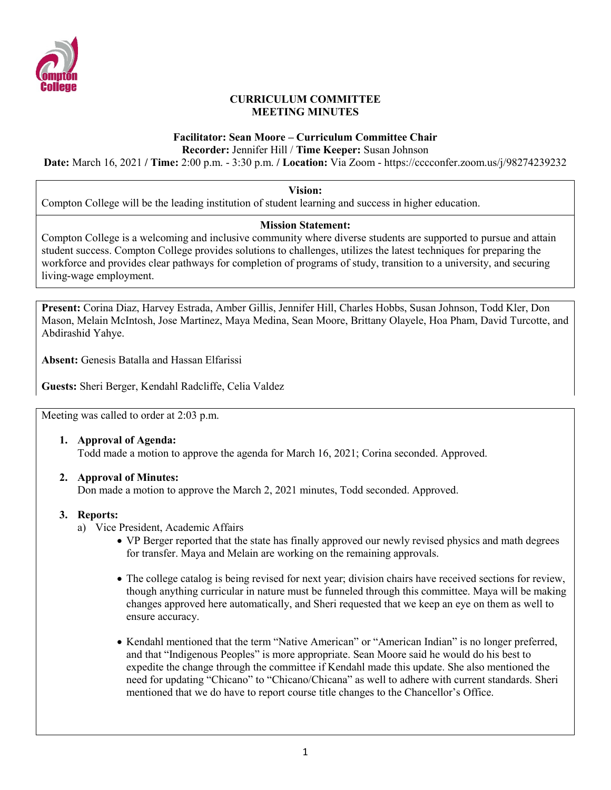

## **CURRICULUM COMMITTEE MEETING MINUTES**

# **Facilitator: Sean Moore – Curriculum Committee Chair**

**Recorder:** Jennifer Hill / **Time Keeper:** Susan Johnson

**Date:** March 16, 2021 **/ Time:** 2:00 p.m. - 3:30 p.m. **/ Location:** Via Zoom - https://cccconfer.zoom.us/j/98274239232

**Vision:**

Compton College will be the leading institution of student learning and success in higher education.

### **Mission Statement:**

Compton College is a welcoming and inclusive community where diverse students are supported to pursue and attain student success. Compton College provides solutions to challenges, utilizes the latest techniques for preparing the workforce and provides clear pathways for completion of programs of study, transition to a university, and securing living-wage employment.

**Present:** Corina Diaz, Harvey Estrada, Amber Gillis, Jennifer Hill, Charles Hobbs, Susan Johnson, Todd Kler, Don Mason, Melain McIntosh, Jose Martinez, Maya Medina, Sean Moore, Brittany Olayele, Hoa Pham, David Turcotte, and Abdirashid Yahye.

**Absent:** Genesis Batalla and Hassan Elfarissi

**Guests:** Sheri Berger, Kendahl Radcliffe, Celia Valdez

Meeting was called to order at 2:03 p.m.

- **1. Approval of Agenda:** Todd made a motion to approve the agenda for March 16, 2021; Corina seconded. Approved.
- **2. Approval of Minutes:** Don made a motion to approve the March 2, 2021 minutes, Todd seconded. Approved.

### **3. Reports:**

- a) Vice President, Academic Affairs
	- VP Berger reported that the state has finally approved our newly revised physics and math degrees for transfer. Maya and Melain are working on the remaining approvals.
	- The college catalog is being revised for next year; division chairs have received sections for review, though anything curricular in nature must be funneled through this committee. Maya will be making changes approved here automatically, and Sheri requested that we keep an eye on them as well to ensure accuracy.
	- Kendahl mentioned that the term "Native American" or "American Indian" is no longer preferred, and that "Indigenous Peoples" is more appropriate. Sean Moore said he would do his best to expedite the change through the committee if Kendahl made this update. She also mentioned the need for updating "Chicano" to "Chicano/Chicana" as well to adhere with current standards. Sheri mentioned that we do have to report course title changes to the Chancellor's Office.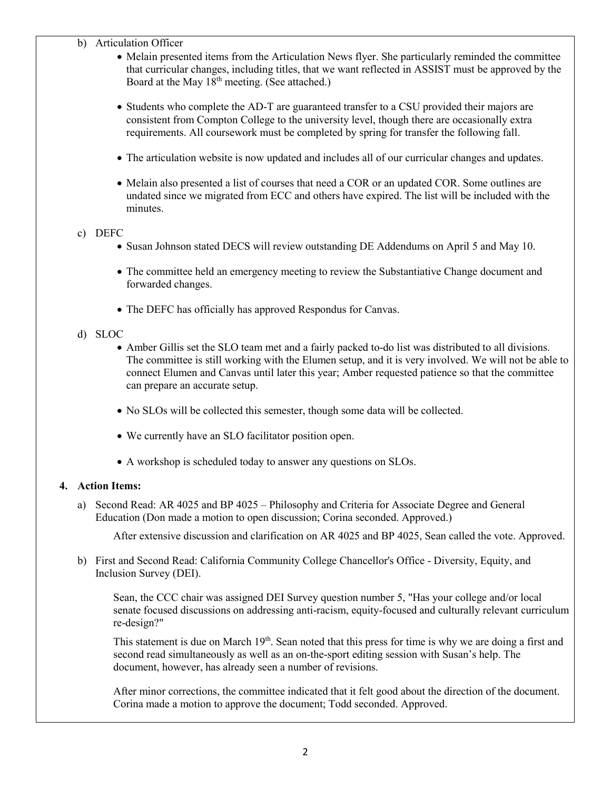### b) Articulation Officer

- Melain presented items from the Articulation News flyer. She particularly reminded the committee that curricular changes, including titles, that we want reflected in ASSIST must be approved by the Board at the May 18th meeting. (See attached.)
- Students who complete the AD-T are guaranteed transfer to a CSU provided their majors are consistent from Compton College to the university level, though there are occasionally extra requirements. All coursework must be completed by spring for transfer the following fall.
- The articulation website is now updated and includes all of our curricular changes and updates.
- Melain also presented a list of courses that need a COR or an updated COR. Some outlines are undated since we migrated from ECC and others have expired. The list will be included with the minutes.

### c) DEFC

- Susan Johnson stated DECS will review outstanding DE Addendums on April 5 and May 10.
- The committee held an emergency meeting to review the Substantiative Change document and forwarded changes.
- The DEFC has officially has approved Respondus for Canvas.
- d) SLOC
	- Amber Gillis set the SLO team met and a fairly packed to-do list was distributed to all divisions. The committee is still working with the Elumen setup, and it is very involved. We will not be able to connect Elumen and Canvas until later this year; Amber requested patience so that the committee can prepare an accurate setup.
	- No SLOs will be collected this semester, though some data will be collected.
	- We currently have an SLO facilitator position open.
	- A workshop is scheduled today to answer any questions on SLOs.

### **4. Action Items:**

a) Second Read: AR 4025 and BP 4025 – Philosophy and Criteria for Associate Degree and General Education (Don made a motion to open discussion; Corina seconded. Approved.)

After extensive discussion and clarification on AR 4025 and BP 4025, Sean called the vote. Approved.

b) First and Second Read: California Community College Chancellor's Office - Diversity, Equity, and Inclusion Survey (DEI).

Sean, the CCC chair was assigned DEI Survey question number 5, "Has your college and/or local senate focused discussions on addressing anti-racism, equity-focused and culturally relevant curriculum re-design?"

This statement is due on March 19<sup>th</sup>. Sean noted that this press for time is why we are doing a first and second read simultaneously as well as an on-the-sport editing session with Susan's help. The document, however, has already seen a number of revisions.

After minor corrections, the committee indicated that it felt good about the direction of the document. Corina made a motion to approve the document; Todd seconded. Approved.